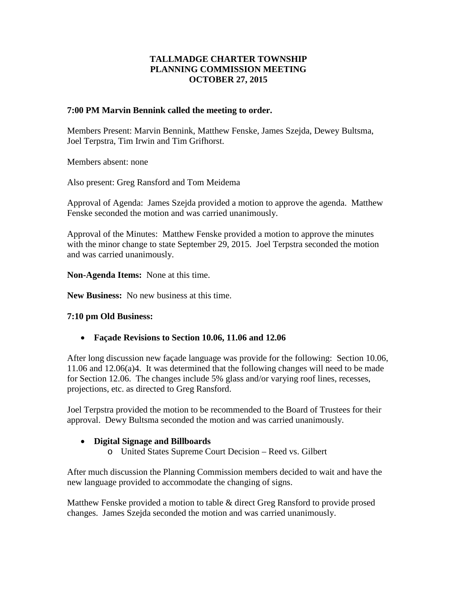# **TALLMADGE CHARTER TOWNSHIP PLANNING COMMISSION MEETING OCTOBER 27, 2015**

### **7:00 PM Marvin Bennink called the meeting to order.**

Members Present: Marvin Bennink, Matthew Fenske, James Szejda, Dewey Bultsma, Joel Terpstra, Tim Irwin and Tim Grifhorst.

Members absent: none

Also present: Greg Ransford and Tom Meidema

Approval of Agenda: James Szejda provided a motion to approve the agenda. Matthew Fenske seconded the motion and was carried unanimously.

Approval of the Minutes: Matthew Fenske provided a motion to approve the minutes with the minor change to state September 29, 2015. Joel Terpstra seconded the motion and was carried unanimously.

**Non-Agenda Items:** None at this time.

**New Business:** No new business at this time.

# **7:10 pm Old Business:**

• **Façade Revisions to Section 10.06, 11.06 and 12.06**

After long discussion new façade language was provide for the following: Section 10.06, 11.06 and 12.06(a)4. It was determined that the following changes will need to be made for Section 12.06. The changes include 5% glass and/or varying roof lines, recesses, projections, etc. as directed to Greg Ransford.

Joel Terpstra provided the motion to be recommended to the Board of Trustees for their approval. Dewy Bultsma seconded the motion and was carried unanimously.

# • **Digital Signage and Billboards**

o United States Supreme Court Decision – Reed vs. Gilbert

After much discussion the Planning Commission members decided to wait and have the new language provided to accommodate the changing of signs.

Matthew Fenske provided a motion to table & direct Greg Ransford to provide prosed changes. James Szejda seconded the motion and was carried unanimously.